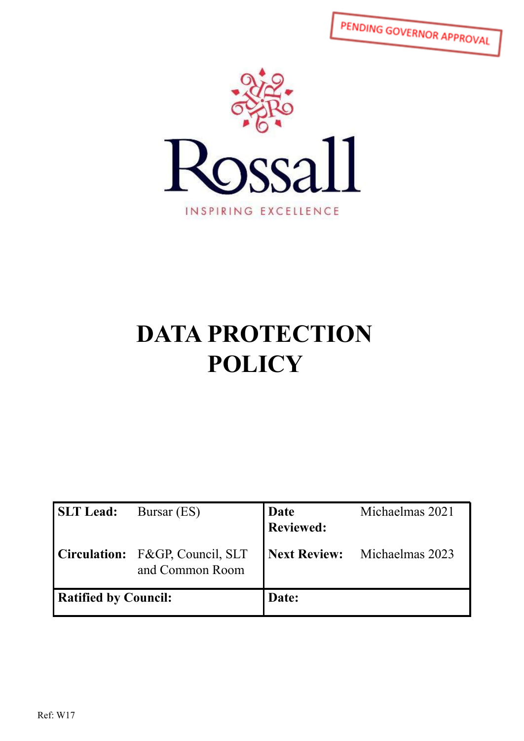PENDING GOVERNOR APPROVAL



# **DATA PROTECTION POLICY**

| <b>SLT</b> Lead:            | Bursar (ES)                                        | Date<br>Reviewed: | Michaelmas 2021              |
|-----------------------------|----------------------------------------------------|-------------------|------------------------------|
|                             | Circulation: F&GP, Council, SLT<br>and Common Room |                   | Next Review: Michaelmas 2023 |
| <b>Ratified by Council:</b> |                                                    | Date:             |                              |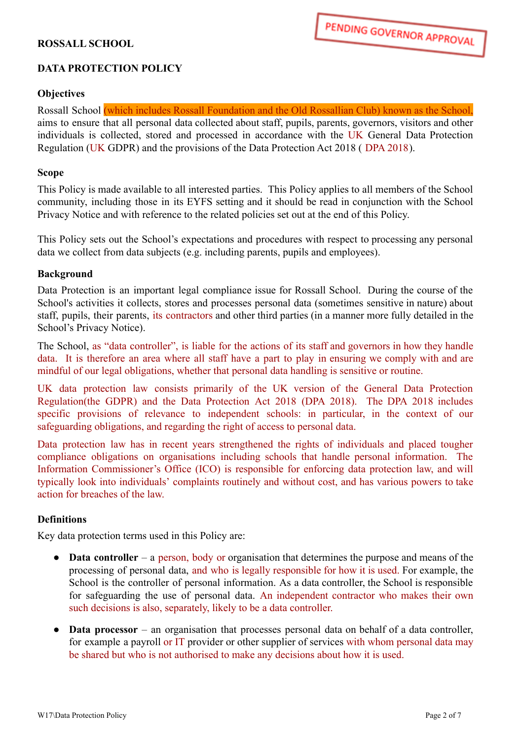# **ROSSALL SCHOOL**

# **DATA PROTECTION POLICY**

#### **Objectives**

Rossall School (which includes Rossall Foundation and the Old Rossallian Club) known as the School, aims to ensure that all personal data collected about staff, pupils, parents, governors, visitors and other individuals is collected, stored and processed in accordance with the UK General Data Protection Regulation (UK GDPR) and the provisions of the Data Protection Act 2018 ( DPA 2018).

#### **Scope**

This Policy is made available to all interested parties. This Policy applies to all members of the School community, including those in its EYFS setting and it should be read in conjunction with the School Privacy Notice and with reference to the related policies set out at the end of this Policy.

This Policy sets out the School's expectations and procedures with respect to processing any personal data we collect from data subjects (e.g. including parents, pupils and employees).

#### **Background**

Data Protection is an important legal compliance issue for Rossall School. During the course of the School's activities it collects, stores and processes personal data (sometimes sensitive in nature) about staff, pupils, their parents, its contractors and other third parties (in a manner more fully detailed in the School's Privacy Notice).

The School, as "data controller", is liable for the actions of its staff and governors in how they handle data. It is therefore an area where all staff have a part to play in ensuring we comply with and are mindful of our legal obligations, whether that personal data handling is sensitive or routine.

UK data protection law consists primarily of the UK version of the General Data Protection Regulation(the GDPR) and the Data Protection Act 2018 (DPA 2018). The DPA 2018 includes specific provisions of relevance to independent schools: in particular, in the context of our safeguarding obligations, and regarding the right of access to personal data.

Data protection law has in recent years strengthened the rights of individuals and placed tougher compliance obligations on organisations including schools that handle personal information. The Information Commissioner's Office (ICO) is responsible for enforcing data protection law, and will typically look into individuals' complaints routinely and without cost, and has various powers to take action for breaches of the law.

#### **Definitions**

Key data protection terms used in this Policy are:

- **Data controller** a person, body or organisation that determines the purpose and means of the processing of personal data, and who is legally responsible for how it is used. For example, the School is the controller of personal information. As a data controller, the School is responsible for safeguarding the use of personal data. An independent contractor who makes their own such decisions is also, separately, likely to be a data controller.
- **Data processor** an organisation that processes personal data on behalf of a data controller, for example a payroll or IT provider or other supplier of services with whom personal data may be shared but who is not authorised to make any decisions about how it is used.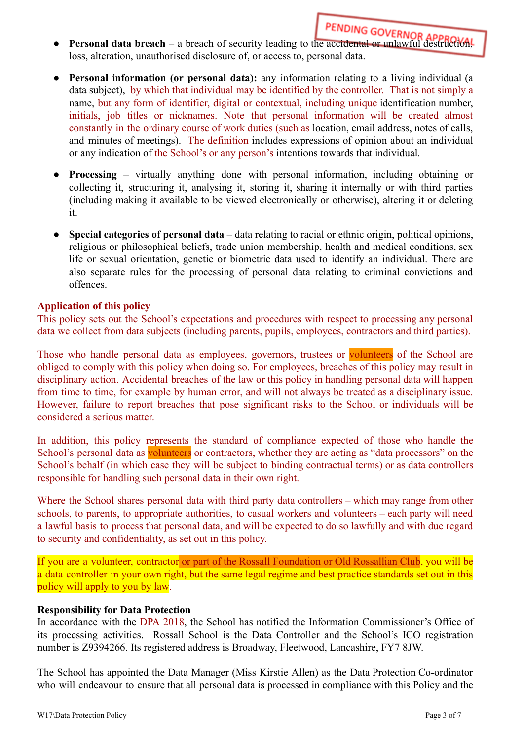- **Personal data breach** a breach of security leading to the accidental or unlawful destruction, loss, alteration, unauthorised disclosure of, or access to, personal data.
- **Personal information (or personal data):** any information relating to a living individual (a data subject), by which that individual may be identified by the controller. That is not simply a name, but any form of identifier, digital or contextual, including unique identification number, initials, job titles or nicknames. Note that personal information will be created almost constantly in the ordinary course of work duties (such as location, email address, notes of calls, and minutes of meetings). The definition includes expressions of opinion about an individual or any indication of the School's or any person's intentions towards that individual.
- **Processing** virtually anything done with personal information, including obtaining or collecting it, structuring it, analysing it, storing it, sharing it internally or with third parties (including making it available to be viewed electronically or otherwise), altering it or deleting it.
- **Special categories of personal data** data relating to racial or ethnic origin, political opinions, religious or philosophical beliefs, trade union membership, health and medical conditions, sex life or sexual orientation, genetic or biometric data used to identify an individual. There are also separate rules for the processing of personal data relating to criminal convictions and offences.

### **Application of this policy**

This policy sets out the School's expectations and procedures with respect to processing any personal data we collect from data subjects (including parents, pupils, employees, contractors and third parties).

Those who handle personal data as employees, governors, trustees or volunteers of the School are obliged to comply with this policy when doing so. For employees, breaches of this policy may result in disciplinary action. Accidental breaches of the law or this policy in handling personal data will happen from time to time, for example by human error, and will not always be treated as a disciplinary issue. However, failure to report breaches that pose significant risks to the School or individuals will be considered a serious matter.

In addition, this policy represents the standard of compliance expected of those who handle the School's personal data as volunteers or contractors, whether they are acting as "data processors" on the School's behalf (in which case they will be subject to binding contractual terms) or as data controllers responsible for handling such personal data in their own right.

Where the School shares personal data with third party data controllers – which may range from other schools, to parents, to appropriate authorities, to casual workers and volunteers – each party will need a lawful basis to process that personal data, and will be expected to do so lawfully and with due regard to security and confidentiality, as set out in this policy.

If you are a volunteer, contractor or part of the Rossall Foundation or Old Rossallian Club, you will be a data controller in your own right, but the same legal regime and best practice standards set out in this policy will apply to you by law.

#### **Responsibility for Data Protection**

In accordance with the DPA 2018, the School has notified the Information Commissioner's Office of its processing activities. Rossall School is the Data Controller and the School's ICO registration number is Z9394266. Its registered address is Broadway, Fleetwood, Lancashire, FY7 8JW.

The School has appointed the Data Manager (Miss Kirstie Allen) as the Data Protection Co-ordinator who will endeavour to ensure that all personal data is processed in compliance with this Policy and the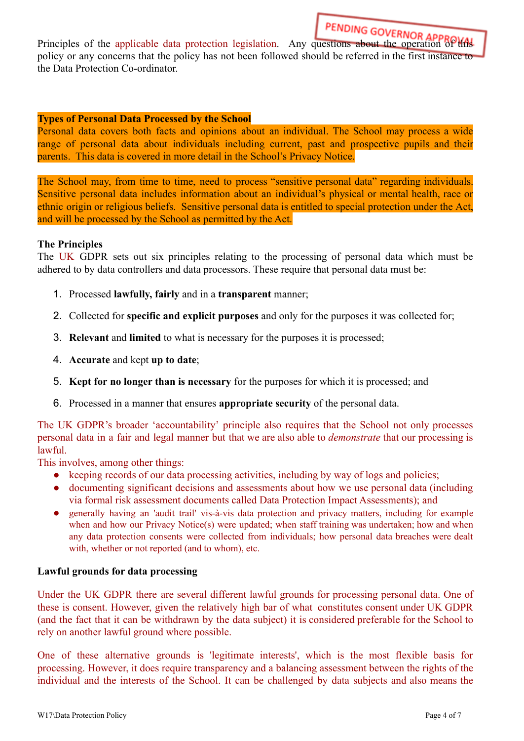Principles of the applicable data protection legislation. Any questions about the operation of the strategy and the operation of the strategy of the strategy and the operation of the strategy and the strategy and the opera policy or any concerns that the policy has not been followed should be referred in the first instance to the Data Protection Co-ordinator.

#### **Types of Personal Data Processed by the School**

Personal data covers both facts and opinions about an individual. The School may process a wide range of personal data about individuals including current, past and prospective pupils and their parents. This data is covered in more detail in the School's Privacy Notice.

The School may, from time to time, need to process "sensitive personal data" regarding individuals. Sensitive personal data includes information about an individual's physical or mental health, race or ethnic origin or religious beliefs. Sensitive personal data is entitled to special protection under the Act, and will be processed by the School as permitted by the Act.

#### **The Principles**

The UK GDPR sets out six principles relating to the processing of personal data which must be adhered to by data controllers and data processors. These require that personal data must be:

- 1. Processed **lawfully, fairly** and in a **transparent** manner;
- 2. Collected for **specific and explicit purposes** and only for the purposes it was collected for;
- 3. **Relevant** and **limited** to what is necessary for the purposes it is processed;
- 4. **Accurate** and kept **up to date**;
- 5. **Kept for no longer than is necessary** for the purposes for which it is processed; and
- 6. Processed in a manner that ensures **appropriate security** of the personal data.

The UK GDPR's broader 'accountability' principle also requires that the School not only processes personal data in a fair and legal manner but that we are also able to *demonstrate* that our processing is lawful.

This involves, among other things:

- keeping records of our data processing activities, including by way of logs and policies;
- documenting significant decisions and assessments about how we use personal data (including via formal risk assessment documents called Data Protection Impact Assessments); and
- generally having an 'audit trail' vis-à-vis data protection and privacy matters, including for example when and how our Privacy Notice(s) were updated; when staff training was undertaken; how and when any data protection consents were collected from individuals; how personal data breaches were dealt with, whether or not reported (and to whom), etc.

#### **Lawful grounds for data processing**

Under the UK GDPR there are several different lawful grounds for processing personal data. One of these is consent. However, given the relatively high bar of what constitutes consent under UK GDPR (and the fact that it can be withdrawn by the data subject) it is considered preferable for the School to rely on another lawful ground where possible.

One of these alternative grounds is 'legitimate interests', which is the most flexible basis for processing. However, it does require transparency and a balancing assessment between the rights of the individual and the interests of the School. It can be challenged by data subjects and also means the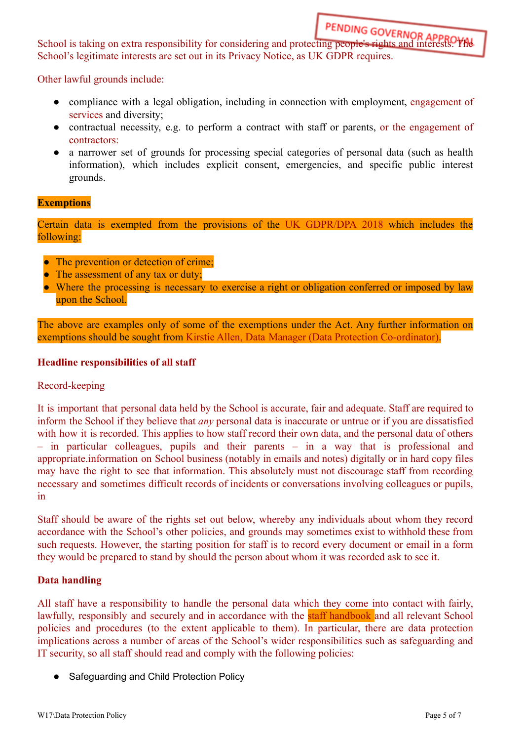School is taking on extra responsibility for considering and protecting people's rights and interests. The School's legitimate interests are set out in its Privacy Notice, as UK GDPR requires.

Other lawful grounds include:

- compliance with a legal obligation, including in connection with employment, engagement of services and diversity;
- contractual necessity, e.g. to perform a contract with staff or parents, or the engagement of contractors:
- a narrower set of grounds for processing special categories of personal data (such as health information), which includes explicit consent, emergencies, and specific public interest grounds.

# **Exemptions**

Certain data is exempted from the provisions of the UK GDPR/DPA 2018 which includes the following:

- The prevention or detection of crime;
- The assessment of any tax or duty:
- Where the processing is necessary to exercise a right or obligation conferred or imposed by law upon the School.

The above are examples only of some of the exemptions under the Act. Any further information on exemptions should be sought from Kirstie Allen, Data Manager (Data Protection Co-ordinator).

#### **Headline responsibilities of all staff**

#### Record-keeping

It is important that personal data held by the School is accurate, fair and adequate. Staff are required to inform the School if they believe that *any* personal data is inaccurate or untrue or if you are dissatisfied with how it is recorded. This applies to how staff record their own data, and the personal data of others – in particular colleagues, pupils and their parents – in a way that is professional and appropriate.information on School business (notably in emails and notes) digitally or in hard copy files may have the right to see that information. This absolutely must not discourage staff from recording necessary and sometimes difficult records of incidents or conversations involving colleagues or pupils, in

Staff should be aware of the rights set out below, whereby any individuals about whom they record accordance with the School's other policies, and grounds may sometimes exist to withhold these from such requests. However, the starting position for staff is to record every document or email in a form they would be prepared to stand by should the person about whom it was recorded ask to see it.

#### **Data handling**

All staff have a responsibility to handle the personal data which they come into contact with fairly, lawfully, responsibly and securely and in accordance with the **staff** handbook and all relevant School policies and procedures (to the extent applicable to them). In particular, there are data protection implications across a number of areas of the School's wider responsibilities such as safeguarding and IT security, so all staff should read and comply with the following policies:

● Safeguarding and Child Protection Policy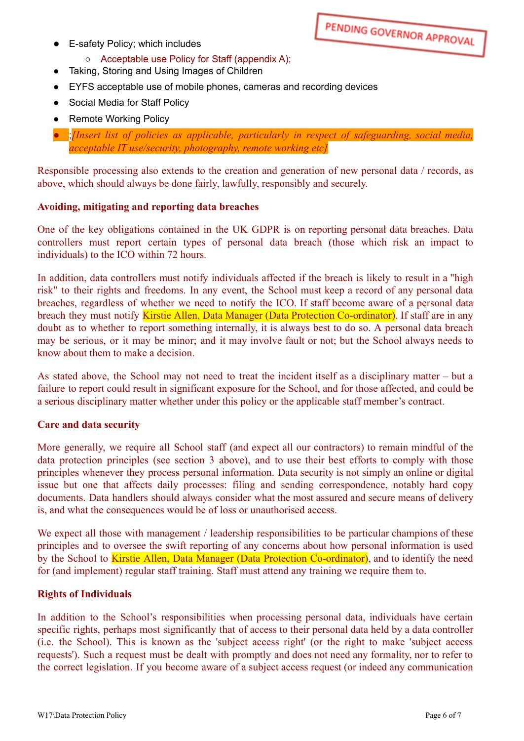● E-safety Policy; which includes

# ○ Acceptable use Policy for Staff (appendix A);

- Taking, Storing and Using Images of Children
- EYFS acceptable use of mobile phones, cameras and recording devices
- Social Media for Staff Policy
- **Remote Working Policy**
- ;*[Insert list of policies as applicable, particularly in respect of safeguarding, social media, acceptable IT use/security, photography, remote working etc]*

Responsible processing also extends to the creation and generation of new personal data / records, as above, which should always be done fairly, lawfully, responsibly and securely.

#### **Avoiding, mitigating and reporting data breaches**

One of the key obligations contained in the UK GDPR is on reporting personal data breaches. Data controllers must report certain types of personal data breach (those which risk an impact to individuals) to the ICO within 72 hours.

In addition, data controllers must notify individuals affected if the breach is likely to result in a "high risk" to their rights and freedoms. In any event, the School must keep a record of any personal data breaches, regardless of whether we need to notify the ICO. If staff become aware of a personal data breach they must notify Kirstie Allen, Data Manager (Data Protection Co-ordinator). If staff are in any doubt as to whether to report something internally, it is always best to do so. A personal data breach may be serious, or it may be minor; and it may involve fault or not; but the School always needs to know about them to make a decision.

As stated above, the School may not need to treat the incident itself as a disciplinary matter – but a failure to report could result in significant exposure for the School, and for those affected, and could be a serious disciplinary matter whether under this policy or the applicable staff member's contract.

#### **Care and data security**

More generally, we require all School staff (and expect all our contractors) to remain mindful of the data protection principles (see section 3 above), and to use their best efforts to comply with those principles whenever they process personal information. Data security is not simply an online or digital issue but one that affects daily processes: filing and sending correspondence, notably hard copy documents. Data handlers should always consider what the most assured and secure means of delivery is, and what the consequences would be of loss or unauthorised access.

We expect all those with management / leadership responsibilities to be particular champions of these principles and to oversee the swift reporting of any concerns about how personal information is used by the School to Kirstie Allen, Data Manager (Data Protection Co-ordinator), and to identify the need for (and implement) regular staff training. Staff must attend any training we require them to.

#### **Rights of Individuals**

In addition to the School's responsibilities when processing personal data, individuals have certain specific rights, perhaps most significantly that of access to their personal data held by a data controller (i.e. the School). This is known as the 'subject access right' (or the right to make 'subject access requests'). Such a request must be dealt with promptly and does not need any formality, nor to refer to the correct legislation. If you become aware of a subject access request (or indeed any communication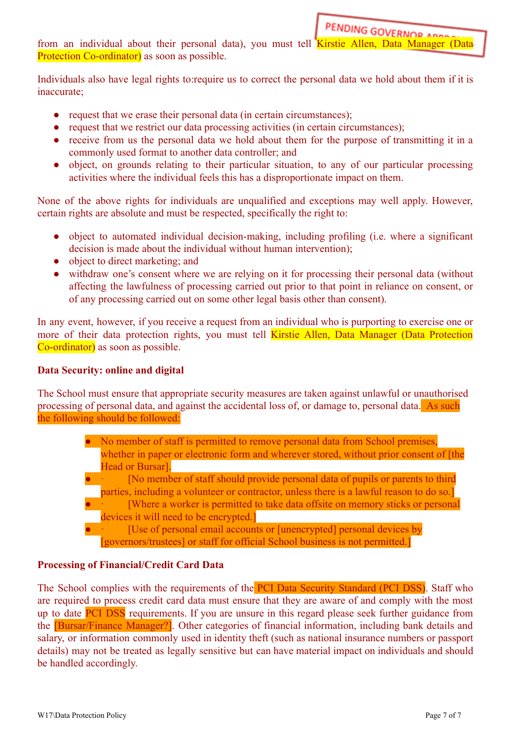from an individual about their personal data), you must tell Kirstie Allen, Data Manager (Data Protection Co-ordinator) as soon as possible.

Individuals also have legal rights to:require us to correct the personal data we hold about them if it is inaccurate;

- request that we erase their personal data (in certain circumstances);
- request that we restrict our data processing activities (in certain circumstances);
- receive from us the personal data we hold about them for the purpose of transmitting it in a commonly used format to another data controller; and
- object, on grounds relating to their particular situation, to any of our particular processing activities where the individual feels this has a disproportionate impact on them.

None of the above rights for individuals are unqualified and exceptions may well apply. However, certain rights are absolute and must be respected, specifically the right to:

- object to automated individual decision-making, including profiling (i.e. where a significant decision is made about the individual without human intervention);
- object to direct marketing; and
- withdraw one's consent where we are relying on it for processing their personal data (without affecting the lawfulness of processing carried out prior to that point in reliance on consent, or of any processing carried out on some other legal basis other than consent).

In any event, however, if you receive a request from an individual who is purporting to exercise one or more of their data protection rights, you must tell Kirstie Allen, Data Manager (Data Protection Co-ordinator) as soon as possible.

# **Data Security: online and digital**

The School must ensure that appropriate security measures are taken against unlawful or unauthorised processing of personal data, and against the accidental loss of, or damage to, personal data. As such the following should be followed:

- No member of staff is permitted to remove personal data from School premises, whether in paper or electronic form and wherever stored, without prior consent of [the Head or Bursar].
- [No member of staff should provide personal data of pupils or parents to third parties, including a volunteer or contractor, unless there is a lawful reason to do so.]
- [Where a worker is permitted to take data offsite on memory sticks or personal] devices it will need to be encrypted.

[Use of personal email accounts or [unencrypted] personal devices by [governors/trustees] or staff for official School business is not permitted.]

# **Processing of Financial/Credit Card Data**

The School complies with the requirements of the PCI Data Security Standard (PCI DSS). Staff who are required to process credit card data must ensure that they are aware of and comply with the most up to date **PCI DSS** requirements. If you are unsure in this regard please seek further guidance from the [Bursar/Finance Manager?]. Other categories of financial information, including bank details and salary, or information commonly used in identity theft (such as national insurance numbers or passport details) may not be treated as legally sensitive but can have material impact on individuals and should be handled accordingly.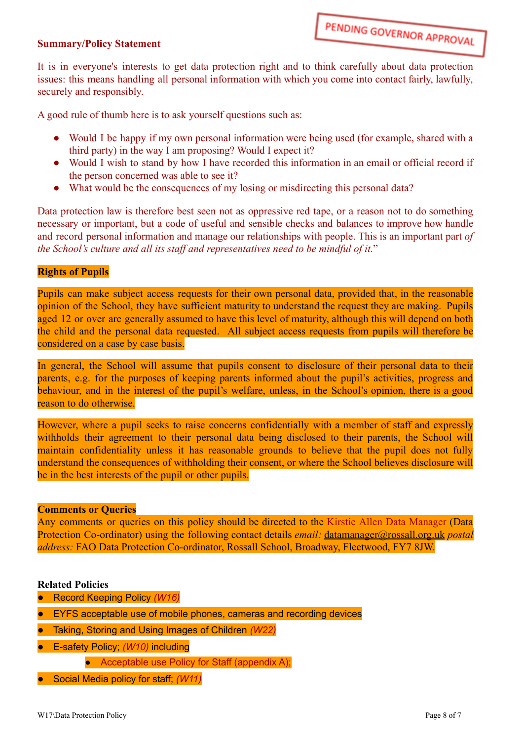### **Summary/Policy Statement**

It is in everyone's interests to get data protection right and to think carefully about data protection issues: this means handling all personal information with which you come into contact fairly, lawfully, securely and responsibly.

A good rule of thumb here is to ask yourself questions such as:

- Would I be happy if my own personal information were being used (for example, shared with a third party) in the way I am proposing? Would I expect it?
- Would I wish to stand by how I have recorded this information in an email or official record if the person concerned was able to see it?
- What would be the consequences of my losing or misdirecting this personal data?

Data protection law is therefore best seen not as oppressive red tape, or a reason not to do something necessary or important, but a code of useful and sensible checks and balances to improve how handle and record personal information and manage our relationships with people. This is an important part *of the School's culture and all its staff and representatives need to be mindful of it.*"

### **Rights of Pupils**

Pupils can make subject access requests for their own personal data, provided that, in the reasonable opinion of the School, they have sufficient maturity to understand the request they are making. Pupils aged 12 or over are generally assumed to have this level of maturity, although this will depend on both the child and the personal data requested. All subject access requests from pupils will therefore be considered on a case by case basis.

In general, the School will assume that pupils consent to disclosure of their personal data to their parents, e.g. for the purposes of keeping parents informed about the pupil's activities, progress and behaviour, and in the interest of the pupil's welfare, unless, in the School's opinion, there is a good reason to do otherwise.

However, where a pupil seeks to raise concerns confidentially with a member of staff and expressly withholds their agreement to their personal data being disclosed to their parents, the School will maintain confidentiality unless it has reasonable grounds to believe that the pupil does not fully understand the consequences of withholding their consent, or where the School believes disclosure will be in the best interests of the pupil or other pupils.

#### **Comments or Queries**

Any comments or queries on this policy should be directed to the Kirstie Allen Data Manager (Data Protection Co-ordinator) using the following contact details *email:* [datamanager@rossall.org.uk](mailto:datamanager@rossall.org.uk) *postal address:* FAO Data Protection Co-ordinator, Rossall School, Broadway, Fleetwood, FY7 8JW.

#### **Related Policies**

- Record Keeping Policy *(W16)*
- EYFS acceptable use of mobile phones, cameras and recording devices
- Taking, Storing and Using Images of Children *(W22)*
- E-safety Policy; *(W10)* including
	- Acceptable use Policy for Staff (appendix A);
- Social Media policy for staff; *(W11)*